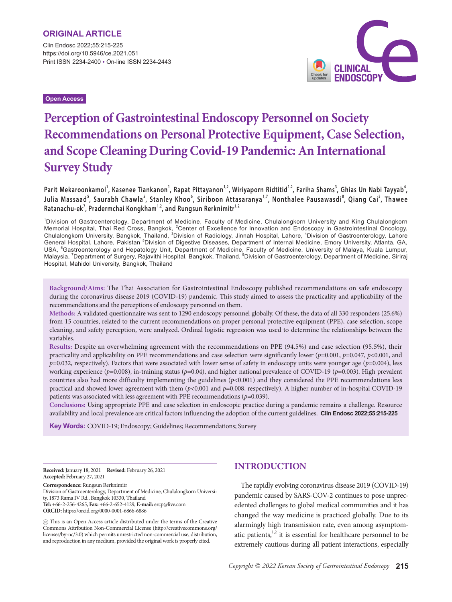Clin Endosc 2022;55:215-225 https://doi.org/10.5946/ce.2021.051 Print ISSN 2234-2400 • On-line ISSN 2234-2443 **CLINICAL**<br>ENDOSCOPY

**Open Access**

# **Perception of Gastrointestinal Endoscopy Personnel on Society Recommendations on Personal Protective Equipment, Case Selection, and Scope Cleaning During Covid-19 Pandemic: An International Survey Study**

Parit Mekaroonkamol', Kasenee Tiankanon', Rapat Pittayanon'<sup>,2</sup>, Wiriyaporn Ridtitid'<sup>,2</sup>, Fariha Shams<sup>3</sup>, Ghias Un Nabi Tayyab<sup>4</sup>, **Julia Massaad<sup>5</sup> , Saurabh Chawla <sup>5</sup> , Stanley Khoo<sup>6</sup> , Siriboon Attasaranya 1,7, Nonthalee Pausawasdi <sup>8</sup> , Qiang Cai <sup>5</sup> , Thawee**   $R$ atanachu-ek<sup>'</sup>, Pradermchai Kongkham<sup>1,2</sup>, and Rungsun Rerknimitr<sup>1,2</sup>

1 Division of Gastroenterology, Department of Medicine, Faculty of Medicine, Chulalongkorn University and King Chulalongkorn Memorial Hospital, Thai Red Cross, Bangkok, <sup>2</sup>Center of Excellence for Innovation and Endoscopy in Gastrointestinal Oncology,<br>Chulalongkorn University, Bangkok, Thailand, <sup>3</sup>Division of Radiology, Jinnah Hospital, Lahore, General Hospital, Lahore, Pakistan <sup>5</sup>Division of Digestive Diseases, Department of Internal Medicine, Emory University, Atlanta, GA, USA, <sup>6</sup>Gastroenterology and Hepatology Unit, Department of Medicine, Faculty of Medicine, University of Malaya, Kuala Lumpur,<br>Malaysia, <sup>7</sup>Department of Surgery, Rajavithi Hospital, Bangkok, Thailand, <sup>8</sup>Division of Gastr Hospital, Mahidol University, Bangkok, Thailand

**Background/Aims:** The Thai Association for Gastrointestinal Endoscopy published recommendations on safe endoscopy during the coronavirus disease 2019 (COVID-19) pandemic. This study aimed to assess the practicality and applicability of the recommendations and the perceptions of endoscopy personnel on them.

**Methods:** A validated questionnaire was sent to 1290 endoscopy personnel globally. Of these, the data of all 330 responders (25.6%) from 15 countries, related to the current recommendations on proper personal protective equipment (PPE), case selection, scope cleaning, and safety perception, were analyzed. Ordinal logistic regression was used to determine the relationships between the variables.

**Results:** Despite an overwhelming agreement with the recommendations on PPE (94.5%) and case selection (95.5%), their practicality and applicability on PPE recommendations and case selection were significantly lower (*p=*0.001, *p*=0.047, *p*<0.001, and *p*=0.032, respectively). Factors that were associated with lower sense of safety in endoscopy units were younger age (*p*=0.004), less working experience (*p*=0.008), in-training status (*p*=0.04), and higher national prevalence of COVID-19 (*p*=0.003). High prevalent countries also had more difficulty implementing the guidelines (*p*<0.001) and they considered the PPE recommendations less practical and showed lower agreement with them (*p*<0.001 and *p*=0.008, respectively). A higher number of in-hospital COVID-19 patients was associated with less agreement with PPE recommendations (*p*=0.039).

**Conclusions:** Using appropriate PPE and case selection in endoscopic practice during a pandemic remains a challenge. Resource availability and local prevalence are critical factors influencing the adoption of the current guidelines. **Clin Endosc 2022;55:215-225**

**Key Words:** COVID-19; Endoscopy; Guidelines; Recommendations; Survey

**Received:** January 18, 2021 **Revised:** February 26, 2021 **Accepted:** February 27, 2021

**Correspondence:** Rungsun Rerknimitr

Division of Gastroenterology, Department of Medicine, Chulalongkorn University, 1873 Rama IV Rd., Bangkok 10330, Thailand **Tel:** +66-2-256-4265, **Fax:** +66-2-652-4129, **E-mail:** ercp@live.com **ORCID:** https://orcid.org/0000-0001-6866-6886

 This is an Open Access article distributed under the terms of the Creative Commons Attribution Non-Commercial License (http://creativecommons.org/ licenses/by-nc/3.0) which permits unrestricted non-commercial use, distribution, and reproduction in any medium, provided the original work is properly cited.

## **INTRODUCTION**

The rapidly evolving coronavirus disease 2019 (COVID-19) pandemic caused by SARS-COV-2 continues to pose unprecedented challenges to global medical communities and it has changed the way medicine is practiced globally. Due to its alarmingly high transmission rate, even among asymptomatic patients, $1,2$  it is essential for healthcare personnel to be extremely cautious during all patient interactions, especially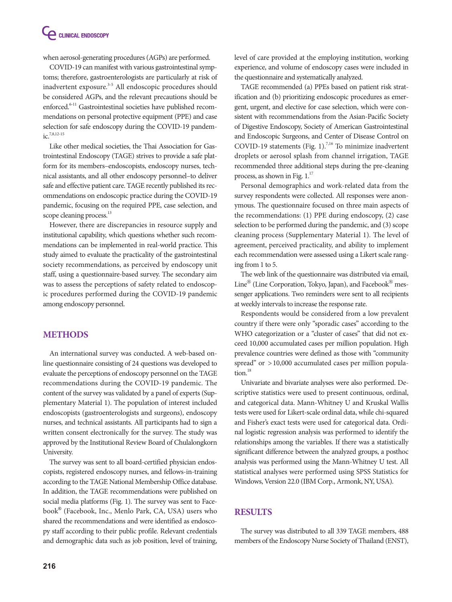when aerosol-generating procedures (AGPs) are performed.

COVID-19 can manifest with various gastrointestinal symptoms; therefore, gastroenterologists are particularly at risk of inadvertent exposure.<sup>3-5</sup> All endoscopic procedures should be considered AGPs, and the relevant precautions should be enforced.<sup>6-11</sup> Gastrointestinal societies have published recommendations on personal protective equipment (PPE) and case selection for safe endoscopy during the COVID-19 pandem $iC$ <sup>7,8,12-15</sup>

Like other medical societies, the Thai Association for Gastrointestinal Endoscopy (TAGE) strives to provide a safe platform for its members–endoscopists, endoscopy nurses, technical assistants, and all other endoscopy personnel–to deliver safe and effective patient care. TAGE recently published its recommendations on endoscopic practice during the COVID-19 pandemic, focusing on the required PPE, case selection, and scope cleaning process.<sup>13</sup>

However, there are discrepancies in resource supply and institutional capability, which questions whether such recommendations can be implemented in real-world practice. This study aimed to evaluate the practicality of the gastrointestinal society recommendations, as perceived by endoscopy unit staff, using a questionnaire-based survey. The secondary aim was to assess the perceptions of safety related to endoscopic procedures performed during the COVID-19 pandemic among endoscopy personnel.

## **METHODS**

An international survey was conducted. A web-based online questionnaire consisting of 24 questions was developed to evaluate the perceptions of endoscopy personnel on the TAGE recommendations during the COVID-19 pandemic. The content of the survey was validated by a panel of experts (Supplementary Material 1). The population of interest included endoscopists (gastroenterologists and surgeons), endoscopy nurses, and technical assistants. All participants had to sign a written consent electronically for the survey. The study was approved by the Institutional Review Board of Chulalongkorn University.

The survey was sent to all board-certified physician endoscopists, registered endoscopy nurses, and fellows-in-training according to the TAGE National Membership Office database. In addition, the TAGE recommendations were published on social media platforms (Fig. 1). The survey was sent to Facebook® (Facebook, Inc., Menlo Park, CA, USA) users who shared the recommendations and were identified as endoscopy staff according to their public profile. Relevant credentials and demographic data such as job position, level of training,

level of care provided at the employing institution, working experience, and volume of endoscopy cases were included in the questionnaire and systematically analyzed.

TAGE recommended (a) PPEs based on patient risk stratification and (b) prioritizing endoscopic procedures as emergent, urgent, and elective for case selection, which were consistent with recommendations from the Asian-Pacific Society of Digestive Endoscopy, Society of American Gastrointestinal and Endoscopic Surgeons, and Center of Disease Control on COVID-19 statements (Fig. 1).<sup>7,16</sup> To minimize inadvertent droplets or aerosol splash from channel irrigation, TAGE recommended three additional steps during the pre-cleaning process, as shown in Fig.  $1.^{17}$ 

Personal demographics and work-related data from the survey respondents were collected. All responses were anonymous. The questionnaire focused on three main aspects of the recommendations: (1) PPE during endoscopy, (2) case selection to be performed during the pandemic, and (3) scope cleaning process (Supplementary Material 1). The level of agreement, perceived practicality, and ability to implement each recommendation were assessed using a Likert scale ranging from 1 to 5.

The web link of the questionnaire was distributed via email, Line® (Line Corporation, Tokyo, Japan), and Facebook® messenger applications. Two reminders were sent to all recipients at weekly intervals to increase the response rate.

Respondents would be considered from a low prevalent country if there were only "sporadic cases" according to the WHO categorization or a "cluster of cases" that did not exceed 10,000 accumulated cases per million population. High prevalence countries were defined as those with "community spread" or  $>10,000$  accumulated cases per million population.<sup>18</sup>

Univariate and bivariate analyses were also performed. Descriptive statistics were used to present continuous, ordinal, and categorical data. Mann-Whitney U and Kruskal Wallis tests were used for Likert-scale ordinal data, while chi-squared and Fisher's exact tests were used for categorical data. Ordinal logistic regression analysis was performed to identify the relationships among the variables. If there was a statistically significant difference between the analyzed groups, a posthoc analysis was performed using the Mann-Whitney U test. All statistical analyses were performed using SPSS Statistics for Windows, Version 22.0 (IBM Corp., Armonk, NY, USA).

## **RESULTS**

The survey was distributed to all 339 TAGE members, 488 members of the Endoscopy Nurse Society of Thailand (ENST),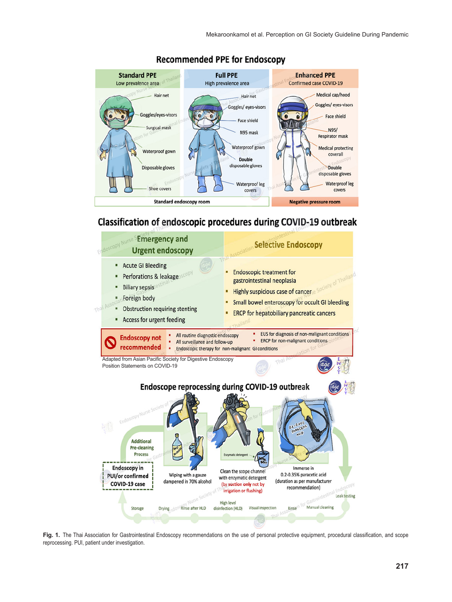

## **Recommended PPE for Endoscopy**

# Classification of endoscopic procedures during COVID-19 outbreak



**Fig. 1.** The Thai Association for Gastrointestinal Endoscopy recommendations on the use of personal protective equipment, procedural classification, and scope reprocessing. PUI, patient under investigation.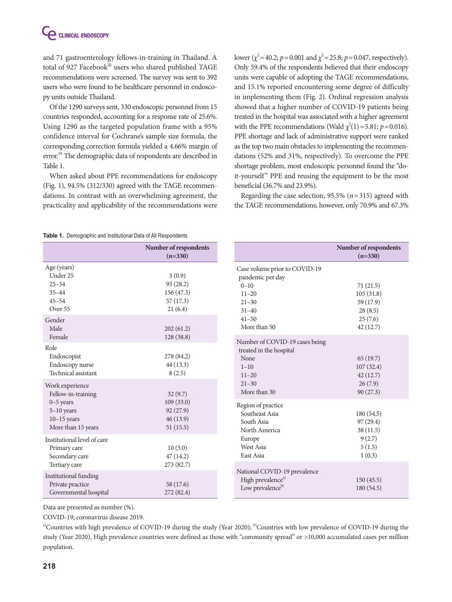and 71 gastroenterology fellows-in-training in Thailand. A total of 927 Facebook® users who shared published TAGE recommendations were screened. The survey was sent to 392 users who were found to be healthcare personnel in endoscopy units outside Thailand.

Of the 1290 surveys sent, 330 endoscopic personnel from 15 countries responded, accounting for a response rate of 25.6%. Using 1290 as the targeted population frame with a 95% confidence interval for Cochrane's sample size formula, the corresponding correction formula yielded a 4.66% margin of error.<sup>19</sup> The demographic data of respondents are described in Table 1.

When asked about PPE recommendations for endoscopy (Fig. 1), 94.5% (312/330) agreed with the TAGE recommendations. In contrast with an overwhelming agreement, the practicality and applicability of the recommendations were

lower ( $\chi^2$  = 40.2; *p* = 0.001 and  $\chi^2$  = 25.8; *p* = 0.047, respectively). Only 59.4% of the respondents believed that their endoscopy units were capable of adopting the TAGE recommendations, and 15.1% reported encountering some degree of difficulty in implementing them (Fig. 2). Ordinal regression analysis showed that a higher number of COVID-19 patients being treated in the hospital was associated with a higher agreement with the PPE recommendations (Wald  $\chi^2(1)$  = 5.81; *p* = 0.016). PPE shortage and lack of administrative support were ranked as the top two main obstacles to implementing the recommendations (52% and 31%, respectively). To overcome the PPE shortage problem, most endoscopic personnel found the "doit-yourself" PPE and reusing the equipment to be the most beneficial (36.7% and 23.9%).

Regarding the case selection, 95.5% (*n*=315) agreed with the TAGE recommendations; however, only 70.9% and 67.3%

### **Table 1.** Demographic and Institutional Data of All Respondents

| <b>RODIG 1.</b> DUTINGRAPHIC and modificitional Data Of AIR NUSDONGONG                                 |                                                          |                                                                                                                         |                                                          |  |
|--------------------------------------------------------------------------------------------------------|----------------------------------------------------------|-------------------------------------------------------------------------------------------------------------------------|----------------------------------------------------------|--|
|                                                                                                        | Number of respondents<br>$(n=330)$                       |                                                                                                                         | Number of respondents<br>$(n=330)$                       |  |
| Age (years)<br>Under 25<br>$25 - 34$<br>$35 - 44$<br>$45 - 54$<br>Over 55                              | 3(0.9)<br>93 (28.2)<br>156 (47.3)<br>57(17.3)<br>21(6.4) | Case volume prior to COVID-19<br>pandemic per day<br>$0 - 10$<br>$11 - 20$<br>$21 - 30$<br>$31 - 40$                    | 71(21.5)<br>105(31.8)<br>59 (17.9)<br>28(8.5)            |  |
| Gender<br>Male<br>Female                                                                               | 202(61.2)<br>128 (38.8)                                  | $41 - 50$<br>More than 50                                                                                               | 25(7.6)<br>42(12.7)                                      |  |
| Role<br>Endoscopist<br>Endoscopy nurse<br>Technical assistant<br>Work experience<br>Fellow-in-training | 278 (84.2)<br>44(13.3)<br>8(2.5)<br>32(9.7)              | Number of COVID-19 cases being<br>treated in the hospital<br>None<br>$1 - 10$<br>$11 - 20$<br>$21 - 30$<br>More than 30 | 65(19.7)<br>107(32.4)<br>42(12.7)<br>26(7.9)<br>90(27.3) |  |
| $0-5$ years<br>$5-10$ years<br>$10-15$ years<br>More than 15 years                                     | 109(33.0)<br>92(27.9)<br>46(13.9)<br>51(15.5)            | Region of practice<br>Southeast Asia<br>South Asia<br>North America                                                     | 180(54.5)<br>97(29.4)<br>38(11.5)                        |  |
| Institutional level of care<br>Primary care<br>Secondary care<br>Tertiary care                         | 10(3.0)<br>47(14.2)<br>273 (82.7)                        | Europe<br>West Asia<br>East Asia                                                                                        | 9(2.7)<br>5(1.5)<br>1(0.3)                               |  |
| <b>Institutional</b> funding<br>Private practice<br>Governmental hospital                              | 58 (17.6)<br>272 (82.4)                                  | National COVID-19 prevalence<br>High prevalence <sup>a)</sup><br>Low prevalence <sup>b)</sup>                           | 150(45.5)<br>180(54.5)                                   |  |

Data are presented as number (%).

COVID-19; coronavirus disease 2019.

a)Countries with high prevalence of COVID-19 during the study (Year 2020); <sup>b)</sup>Countries with low prevalence of COVID-19 during the study (Year 2020), High prevalence countries were defined as those with "community spread" or >10,000 accumulated cases per million population.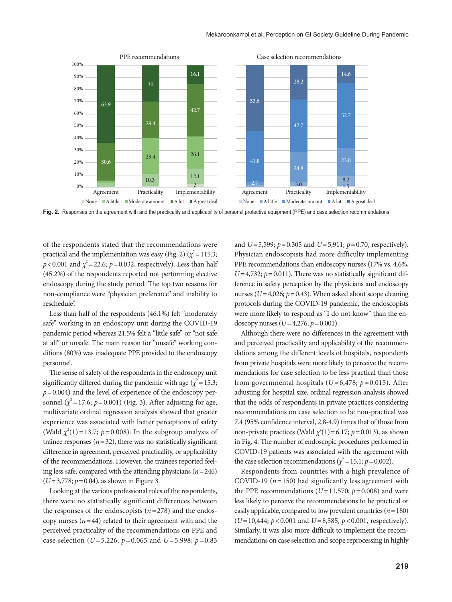

**Fig. 2.** Responses on the agreement with and the practicality and applicability of personal protective equipment (PPE) and case selection recommendations.

of the respondents stated that the recommendations were practical and the implementation was easy (Fig. 2)  $(\chi^2 = 115.3;$  $p < 0.001$  and  $\chi^2 = 22.6$ ;  $p = 0.032$ , respectively). Less than half (45.2%) of the respondents reported not performing elective endoscopy during the study period. The top two reasons for non-compliance were "physician preference" and inability to reschedule".

Less than half of the respondents (46.1%) felt "moderately safe" working in an endoscopy unit during the COVID-19 pandemic period whereas 21.5% felt a "little safe" or "not safe at all" or unsafe. The main reason for "unsafe" working conditions (80%) was inadequate PPE provided to the endoscopy personnel.

The sense of safety of the respondents in the endoscopy unit significantly differed during the pandemic with age  $(\chi^2 = 15.3;$  $p=0.004$ ) and the level of experience of the endoscopy personnel  $(\chi^2 = 17.6; p = 0.001)$  (Fig. 3). After adjusting for age, multivariate ordinal regression analysis showed that greater experience was associated with better perceptions of safety (Wald  $\chi^2(1)$  = 13.7;  $p$  = 0.008). In the subgroup analysis of trainee responses  $(n=32)$ , there was no statistically significant difference in agreement, perceived practicality, or applicability of the recommendations. However, the trainees reported feeling less safe, compared with the attending physicians  $(n=246)$ (*U*=3,778; *p*=0.04), as shown in Figure 3.

Looking at the various professional roles of the respondents, there were no statistically significant differences between the responses of the endoscopists  $(n=278)$  and the endoscopy nurses  $(n=44)$  related to their agreement with and the perceived practicality of the recommendations on PPE and case selection (*U*=5,226; *p*=0.065 and *U*=5,998; *p*=0.83 and *U*=5,599; *p*=0.305 and *U*=5,911; *p*=0.70, respectively). Physician endoscopists had more difficulty implementing PPE recommendations than endoscopy nurses (17% vs. 4.6%,  $U=4,732$ ;  $p=0.011$ ). There was no statistically significant difference in safety perception by the physicians and endoscopy nurses ( $U=4,026$ ;  $p=0.43$ ). When asked about scope cleaning protocols during the COVID-19 pandemic, the endoscopists were more likely to respond as "I do not know" than the endoscopy nurses (*U*=4,276; *p*=0.001).

Although there were no differences in the agreement with and perceived practicality and applicability of the recommendations among the different levels of hospitals, respondents from private hospitals were more likely to perceive the recommendations for case selection to be less practical than those from governmental hospitals (*U*=6,478; *p*=0.015). After adjusting for hospital size, ordinal regression analysis showed that the odds of respondents in private practices considering recommendations on case selection to be non-practical was 7.4 (95% confidence interval, 2.8-4.9) times that of those from non-private practices (Wald  $\chi^2(1)$  = 6.17; *p* = 0.013), as shown in Fig. 4. The number of endoscopic procedures performed in COVID-19 patients was associated with the agreement with the case selection recommendations ( $\chi^2$  = 15.1; *p* = 0.002).

Respondents from countries with a high prevalence of COVID-19 ( $n=150$ ) had significantly less agreement with the PPE recommendations ( $U=11,570$ ;  $p=0.008$ ) and were less likely to perceive the recommendations to be practical or easily applicable, compared to low prevalent countries  $(n = 180)$ (*U*=10,444; *p*<0.001 and *U*=8,585, *p*<0.001, respectively). Similarly, it was also more difficult to implement the recommendations on case selection and scope reprocessing in highly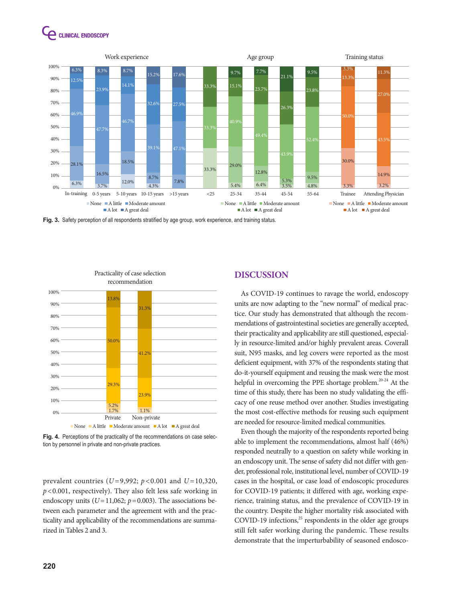



**Fig. 3.** Safety perception of all respondents stratified by age group, work experience, and training status.



**Fig. 4.** Perceptions of the practicality of the recommendations on case selection by personnel in private and non-private practices.

prevalent countries (*U* =9,992; *p* <0.001 and *U* =10,320, *p*<0.001, respectively). They also felt less safe working in endoscopy units  $(U=11,062; p=0.003)$ . The associations between each parameter and the agreement with and the practicality and applicability of the recommendations are summarized in Tables 2 and 3.

## **DISCUSSION**

As COVID-19 continues to ravage the world, endoscopy units are now adapting to the "new normal" of medical practice. Our study has demonstrated that although the recommendations of gastrointestinal societies are generally accepted, their practicality and applicability are still questioned, especially in resource-limited and/or highly prevalent areas. Coverall suit, N95 masks, and leg covers were reported as the most deficient equipment, with 37% of the respondents stating that do-it-yourself equipment and reusing the mask were the most helpful in overcoming the PPE shortage problem.<sup>20-24</sup> At the time of this study, there has been no study validating the efficacy of one reuse method over another. Studies investigating the most cost-effective methods for reusing such equipment are needed for resource-limited medical communities.

Even though the majority of the respondents reported being able to implement the recommendations, almost half (46%) responded neutrally to a question on safety while working in an endoscopy unit. The sense of safety did not differ with gender, professional role, institutional level, number of COVID-19 cases in the hospital, or case load of endoscopic procedures for COVID-19 patients; it differed with age, working experience, training status, and the prevalence of COVID-19 in the country. Despite the higher mortality risk associated with COVID-19 infections, $25$  respondents in the older age groups still felt safer working during the pandemic. These results demonstrate that the imperturbability of seasoned endosco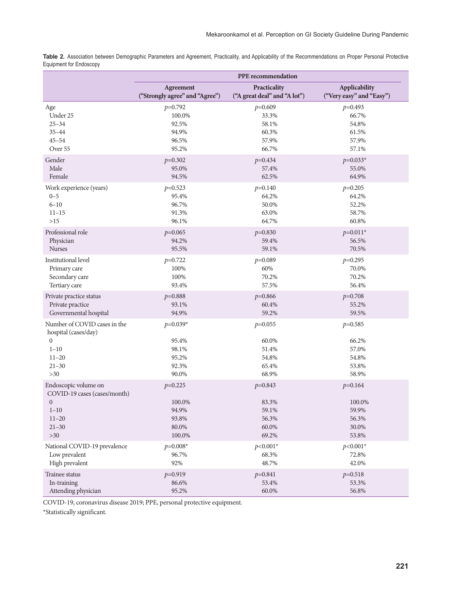Table 2. Association between Demographic Parameters and Agreement, Practicality, and Applicability of the Recommendations on Proper Personal Protective Equipment for Endoscopy

|                                                                                                              | <b>PPE</b> recommendation                      |                                               |                                               |
|--------------------------------------------------------------------------------------------------------------|------------------------------------------------|-----------------------------------------------|-----------------------------------------------|
|                                                                                                              | Agreement                                      | Practicality                                  | Applicability                                 |
|                                                                                                              | ("Strongly agree" and "Agree")                 | ("A great deal" and "A lot")                  | ("Very easy" and "Easy")                      |
| Age                                                                                                          | $p=0.792$                                      | $p=0.609$                                     | $p=0.493$                                     |
| Under 25                                                                                                     | 100.0%                                         | 33.3%                                         | 66.7%                                         |
| $25 - 34$                                                                                                    | 92.5%                                          | 58.1%                                         | 54.8%                                         |
| $35 - 44$                                                                                                    | 94.9%                                          | 60.3%                                         | 61.5%                                         |
| $45 - 54$                                                                                                    | 96.5%                                          | 57.9%                                         | 57.9%                                         |
| Over 55                                                                                                      | 95.2%                                          | 66.7%                                         | 57.1%                                         |
| Gender                                                                                                       | $p=0.302$                                      | $p=0.434$                                     | $p=0.033*$                                    |
| Male                                                                                                         | 95.0%                                          | 57.4%                                         | 55.0%                                         |
| Female                                                                                                       | 94.5%                                          | 62.5%                                         | 64.9%                                         |
| Work experience (years)                                                                                      | $p=0.523$                                      | $p=0.140$                                     | $p=0.205$                                     |
| $0 - 5$                                                                                                      | 95.4%                                          | 64.2%                                         | 64.2%                                         |
| $6 - 10$                                                                                                     | 96.7%                                          | 50.0%                                         | 52.2%                                         |
| $11 - 15$                                                                                                    | 91.3%                                          | 63.0%                                         | 58.7%                                         |
| $>15$                                                                                                        | 96.1%                                          | 64.7%                                         | 60.8%                                         |
| Professional role                                                                                            | $p=0.065$                                      | $p=0.830$                                     | $p=0.011*$                                    |
| Physician                                                                                                    | 94.2%                                          | 59.4%                                         | 56.5%                                         |
| <b>Nurses</b>                                                                                                | 95.5%                                          | 59.1%                                         | 70.5%                                         |
| Institutional level                                                                                          | $p=0.722$                                      | $p=0.089$                                     | $p=0.295$                                     |
| Primary care                                                                                                 | 100%                                           | 60%                                           | 70.0%                                         |
| Secondary care                                                                                               | 100%                                           | 70.2%                                         | 70.2%                                         |
| Tertiary care                                                                                                | 93.4%                                          | 57.5%                                         | 56.4%                                         |
| Private practice status                                                                                      | $p=0.888$                                      | $p=0.866$                                     | $p=0.708$                                     |
| Private practice                                                                                             | 93.1%                                          | 60.4%                                         | 55.2%                                         |
| Governmental hospital                                                                                        | 94.9%                                          | 59.2%                                         | 59.5%                                         |
| Number of COVID cases in the<br>hospital (cases/day)<br>$\overline{0}$<br>$1 - 10$<br>$11 - 20$<br>$21 - 30$ | $p=0.039*$<br>95.4%<br>98.1%<br>95.2%<br>92.3% | $p=0.055$<br>60.0%<br>51.4%<br>54.8%<br>65.4% | $p=0.585$<br>66.2%<br>57.0%<br>54.8%<br>53.8% |
| $>30$                                                                                                        | 90.0%                                          | 68.9%                                         | 58.9%                                         |
| Endoscopic volume on                                                                                         | $p=0.225$                                      | $p=0.843$                                     | $p=0.164$                                     |
| COVID-19 cases (cases/month)                                                                                 | 100.0%                                         | 83.3%                                         | 100.0%                                        |
| $\mathbf{0}$                                                                                                 | 94.9%                                          | 59.1%                                         | 59.9%                                         |
| $1 - 10$                                                                                                     | 93.8%                                          | 56.3%                                         | 56.3%                                         |
| $11 - 20$<br>$21 - 30$<br>$>30$                                                                              | 80.0%<br>100.0%                                | 60.0%<br>69.2%                                | 30.0%<br>53.8%                                |
| National COVID-19 prevalence                                                                                 | $p=0.008*$                                     | $p<0.001*$                                    | $p<0.001*$                                    |
| Low prevalent                                                                                                | 96.7%                                          | 68.3%                                         | 72.8%                                         |
| High prevalent                                                                                               | 92%                                            | 48.7%                                         | 42.0%                                         |
| Trainee status                                                                                               | $p=0.919$                                      | $p=0.841$                                     | $p=0.518$                                     |
| In-training                                                                                                  | 86.6%                                          | 53.4%                                         | 53.3%                                         |
| Attending physician                                                                                          | 95.2%                                          | 60.0%                                         | 56.8%                                         |

COVID-19, coronavirus disease 2019; PPE, personal protective equipment.

\*Statistically significant.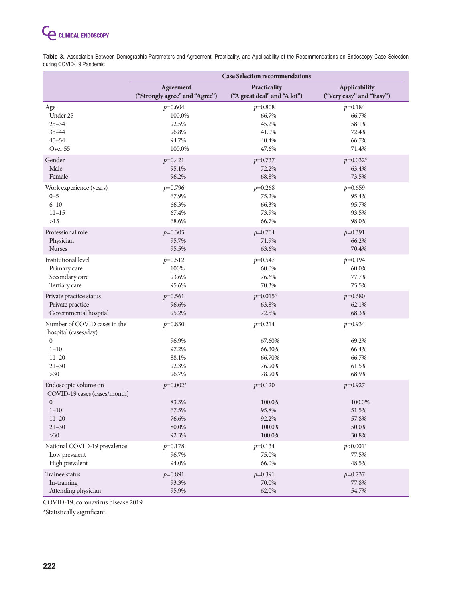

**Table 3.** Association Between Demographic Parameters and Agreement, Practicality, and Applicability of the Recommendations on Endoscopy Case Selection during COVID-19 Pandemic

|                                                                                                                       | <b>Case Selection recommendations</b>                   |                                                             |                                                         |
|-----------------------------------------------------------------------------------------------------------------------|---------------------------------------------------------|-------------------------------------------------------------|---------------------------------------------------------|
|                                                                                                                       | Agreement                                               | Practicality                                                | Applicability                                           |
|                                                                                                                       | ("Strongly agree" and "Agree")                          | ("A great deal" and "A lot")                                | ("Very easy" and "Easy")                                |
| Age                                                                                                                   | $p=0.604$                                               | $p=0.808$                                                   | $p=0.184$                                               |
| Under 25                                                                                                              | 100.0%                                                  | 66.7%                                                       | 66.7%                                                   |
| $25 - 34$                                                                                                             | 92.5%                                                   | 45.2%                                                       | 58.1%                                                   |
| $35 - 44$                                                                                                             | 96.8%                                                   | 41.0%                                                       | 72.4%                                                   |
| $45 - 54$                                                                                                             | 94.7%                                                   | 40.4%                                                       | 66.7%                                                   |
| Over 55                                                                                                               | 100.0%                                                  | 47.6%                                                       | 71.4%                                                   |
| Gender                                                                                                                | $p=0.421$                                               | $p=0.737$                                                   | $p=0.032*$                                              |
| Male                                                                                                                  | 95.1%                                                   | 72.2%                                                       | 63.4%                                                   |
| Female                                                                                                                | 96.2%                                                   | 68.8%                                                       | 73.5%                                                   |
| Work experience (years)                                                                                               | $p=0.796$                                               | $p=0.268$                                                   | $p=0.659$                                               |
| $0 - 5$                                                                                                               | 67.9%                                                   | 75.2%                                                       | 95.4%                                                   |
| $6 - 10$                                                                                                              | 66.3%                                                   | 66.3%                                                       | 95.7%                                                   |
| $11 - 15$                                                                                                             | 67.4%                                                   | 73.9%                                                       | 93.5%                                                   |
| $>15$                                                                                                                 | 68.6%                                                   | 66.7%                                                       | 98.0%                                                   |
| Professional role                                                                                                     | $p=0.305$                                               | $p=0.704$                                                   | $p=0.391$                                               |
| Physician                                                                                                             | 95.7%                                                   | 71.9%                                                       | 66.2%                                                   |
| <b>Nurses</b>                                                                                                         | 95.5%                                                   | 63.6%                                                       | 70.4%                                                   |
| Institutional level                                                                                                   | $p=0.512$                                               | $p=0.547$                                                   | $p=0.194$                                               |
| Primary care                                                                                                          | 100%                                                    | 60.0%                                                       | 60.0%                                                   |
| Secondary care                                                                                                        | 93.6%                                                   | 76.6%                                                       | 77.7%                                                   |
| Tertiary care                                                                                                         | 95.6%                                                   | 70.3%                                                       | 75.5%                                                   |
| Private practice status                                                                                               | $p=0.561$                                               | $p=0.015*$                                                  | $p=0.680$                                               |
| Private practice                                                                                                      | 96.6%                                                   | 63.8%                                                       | 62.1%                                                   |
| Governmental hospital                                                                                                 | 95.2%                                                   | 72.5%                                                       | 68.3%                                                   |
| Number of COVID cases in the<br>hospital (cases/day)<br>$\overline{0}$<br>$1 - 10$<br>$11 - 20$<br>$21 - 30$<br>$>30$ | $p=0.830$<br>96.9%<br>97.2%<br>88.1%<br>92.3%<br>96.7%  | $p=0.214$<br>67.60%<br>66.30%<br>66.70%<br>76.90%<br>78.90% | $p=0.934$<br>69.2%<br>66.4%<br>66.7%<br>61.5%<br>68.9%  |
| Endoscopic volume on<br>COVID-19 cases (cases/month)<br>$\mathbf{0}$<br>$1 - 10$<br>$11 - 20$<br>$21 - 30$<br>$>30$   | $p=0.002*$<br>83.3%<br>67.5%<br>76.6%<br>80.0%<br>92.3% | $p=0.120$<br>100.0%<br>95.8%<br>92.2%<br>100.0%<br>100.0%   | $p=0.927$<br>100.0%<br>51.5%<br>57.8%<br>50.0%<br>30.8% |
| National COVID-19 prevalence                                                                                          | $p=0.178$                                               | $p=0.134$                                                   | $p<0.001*$                                              |
| Low prevalent                                                                                                         | 96.7%                                                   | 75.0%                                                       | 77.5%                                                   |
| High prevalent                                                                                                        | 94.0%                                                   | 66.0%                                                       | 48.5%                                                   |
| Trainee status                                                                                                        | $p=0.891$                                               | $p=0.391$                                                   | $p=0.737$                                               |
| In-training                                                                                                           | 93.3%                                                   | 70.0%                                                       | 77.8%                                                   |
| Attending physician                                                                                                   | 95.9%                                                   | 62.0%                                                       | 54.7%                                                   |

COVID-19, coronavirus disease 2019

\*Statistically significant.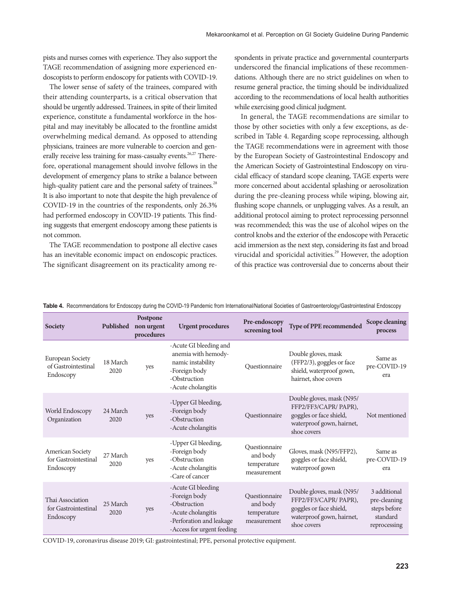pists and nurses comes with experience. They also support the TAGE recommendation of assigning more experienced endoscopists to perform endoscopy for patients with COVID-19.

The lower sense of safety of the trainees, compared with their attending counterparts, is a critical observation that should be urgently addressed. Trainees, in spite of their limited experience, constitute a fundamental workforce in the hospital and may inevitably be allocated to the frontline amidst overwhelming medical demand. As opposed to attending physicians, trainees are more vulnerable to coercion and generally receive less training for mass-casualty events.<sup>26,27</sup> Therefore, operational management should involve fellows in the development of emergency plans to strike a balance between high-quality patient care and the personal safety of trainees.<sup>28</sup> It is also important to note that despite the high prevalence of COVID-19 in the countries of the respondents, only 26.3% had performed endoscopy in COVID-19 patients. This finding suggests that emergent endoscopy among these patients is not common.

The TAGE recommendation to postpone all elective cases has an inevitable economic impact on endoscopic practices. The significant disagreement on its practicality among respondents in private practice and governmental counterparts underscored the financial implications of these recommendations. Although there are no strict guidelines on when to resume general practice, the timing should be individualized according to the recommendations of local health authorities while exercising good clinical judgment.

In general, the TAGE recommendations are similar to those by other societies with only a few exceptions, as described in Table 4. Regarding scope reprocessing, although the TAGE recommendations were in agreement with those by the European Society of Gastrointestinal Endoscopy and the American Society of Gastrointestinal Endoscopy on virucidal efficacy of standard scope cleaning, TAGE experts were more concerned about accidental splashing or aerosolization during the pre-cleaning process while wiping, blowing air, flushing scope channels, or unplugging valves. As a result, an additional protocol aiming to protect reprocessing personnel was recommended; this was the use of alcohol wipes on the control knobs and the exterior of the endoscope with Peracetic acid immersion as the next step, considering its fast and broad virucidal and sporicidal activities.<sup>29</sup> However, the adoption of this practice was controversial due to concerns about their

| <b>Society</b>                                        | Published        | Postpone<br>non urgent<br>procedures | <b>Urgent procedures</b>                                                                                                            | Pre-endoscopy<br>screening tool                         | <b>Type of PPE recommended</b>                                                                                            | <b>Scope cleaning</b><br>process                                         |
|-------------------------------------------------------|------------------|--------------------------------------|-------------------------------------------------------------------------------------------------------------------------------------|---------------------------------------------------------|---------------------------------------------------------------------------------------------------------------------------|--------------------------------------------------------------------------|
| European Society<br>of Gastrointestinal<br>Endoscopy  | 18 March<br>2020 | yes                                  | -Acute GI bleeding and<br>anemia with hemody-<br>namic instability<br>-Foreign body<br>-Obstruction<br>-Acute cholangitis           | Questionnaire                                           | Double gloves, mask<br>(FFP2/3), goggles or face<br>shield, waterproof gown,<br>hairnet, shoe covers                      | Same as<br>pre-COVID-19<br>era                                           |
| World Endoscopy<br>Organization                       | 24 March<br>2020 | yes                                  | -Upper GI bleeding,<br>-Foreign body<br>-Obstruction<br>-Acute cholangitis                                                          | Questionnaire                                           | Double gloves, mask (N95/<br>FFP2/FF3/CAPR/ PAPR),<br>goggles or face shield,<br>waterproof gown, hairnet,<br>shoe covers | Not mentioned                                                            |
| American Society<br>for Gastrointestinal<br>Endoscopy | 27 March<br>2020 | yes                                  | -Upper GI bleeding,<br>-Foreign body<br>-Obstruction<br>-Acute cholangitis<br>-Care of cancer                                       | Ouestionnaire<br>and body<br>temperature<br>measurement | Gloves, mask (N95/FFP2),<br>goggles or face shield,<br>waterproof gown                                                    | Same as<br>pre-COVID-19<br>era                                           |
| Thai Association<br>for Gastrointestinal<br>Endoscopy | 25 March<br>2020 | yes                                  | -Acute GI bleeding<br>-Foreign body<br>-Obstruction<br>-Acute cholangitis<br>-Perforation and leakage<br>-Access for urgent feeding | Questionnaire<br>and body<br>temperature<br>measurement | Double gloves, mask (N95/<br>FFP2/FF3/CAPR/ PAPR),<br>goggles or face shield,<br>waterproof gown, hairnet,<br>shoe covers | 3 additional<br>pre-cleaning<br>steps before<br>standard<br>reprocessing |

Table 4. Recommendations for Endoscopy during the COVID-19 Pandemic from International/National Societies of Gastroenterology/Gastrointestinal Endoscopy

COVID-19, coronavirus disease 2019; GI: gastrointestinal; PPE, personal protective equipment.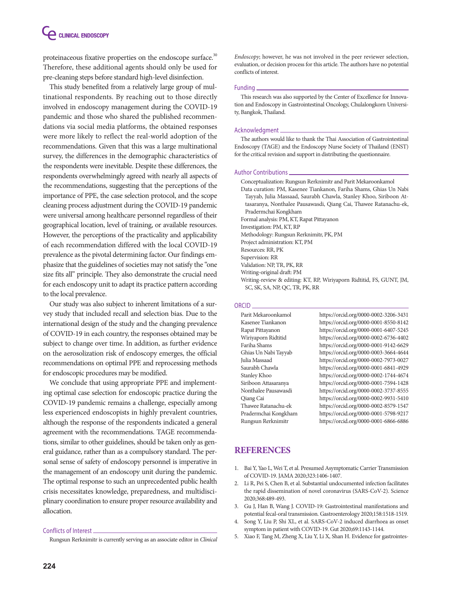# **CLINICAL ENDOSCOPY**

proteinaceous fixative properties on the endoscope surface.<sup>30</sup> Therefore, these additional agents should only be used for pre-cleaning steps before standard high-level disinfection.

This study benefited from a relatively large group of multinational respondents. By reaching out to those directly involved in endoscopy management during the COVID-19 pandemic and those who shared the published recommendations via social media platforms, the obtained responses were more likely to reflect the real-world adoption of the recommendations. Given that this was a large multinational survey, the differences in the demographic characteristics of the respondents were inevitable. Despite these differences, the respondents overwhelmingly agreed with nearly all aspects of the recommendations, suggesting that the perceptions of the importance of PPE, the case selection protocol, and the scope cleaning process adjustment during the COVID-19 pandemic were universal among healthcare personnel regardless of their geographical location, level of training, or available resources. However, the perceptions of the practicality and applicability of each recommendation differed with the local COVID-19 prevalence as the pivotal determining factor. Our findings emphasize that the guidelines of societies may not satisfy the "one size fits all" principle. They also demonstrate the crucial need for each endoscopy unit to adapt its practice pattern according to the local prevalence.

Our study was also subject to inherent limitations of a survey study that included recall and selection bias. Due to the international design of the study and the changing prevalence of COVID-19 in each country, the responses obtained may be subject to change over time. In addition, as further evidence on the aerosolization risk of endoscopy emerges, the official recommendations on optimal PPE and reprocessing methods for endoscopic procedures may be modified.

We conclude that using appropriate PPE and implementing optimal case selection for endoscopic practice during the COVID-19 pandemic remains a challenge, especially among less experienced endoscopists in highly prevalent countries, although the response of the respondents indicated a general agreement with the recommendations. TAGE recommendations, similar to other guidelines, should be taken only as general guidance, rather than as a compulsory standard. The personal sense of safety of endoscopy personnel is imperative in the management of an endoscopy unit during the pandemic. The optimal response to such an unprecedented public health crisis necessitates knowledge, preparedness, and multidisciplinary coordination to ensure proper resource availability and allocation.

### Conflicts of Interest

Rungsun Rerknimitr is currently serving as an associate editor in *Clinical* 

*Endoscopy*; however, he was not involved in the peer reviewer selection, evaluation, or decision process for this article. The authors have no potential conflicts of interest.

### Funding

This research was also supported by the Center of Excellence for Innovation and Endoscopy in Gastrointestinal Oncology, Chulalongkorn University, Bangkok, Thailand.

### Acknowledgment

The authors would like to thank the Thai Association of Gastrointestinal Endoscopy (TAGE) and the Endoscopy Nurse Society of Thailand (ENST) for the critical revision and support in distributing the questionnaire.

### Author Contributions

- Conceptualization: Rungsun Rerknimitr and Parit Mekaroonkamol
- Data curation: PM, Kasenee Tiankanon, Fariha Shams, Ghias Un Nabi Tayyab, Julia Massaad, Saurabh Chawla, Stanley Khoo, Siriboon Attasaranya, Nonthalee Pausawasdi, Qiang Cai, Thawee Ratanachu-ek, Pradermchai Kongkham

Formal analysis: PM, KT, Rapat Pittayanon

Investigation: PM, KT, RP

Methodology: Rungsun Rerknimitr, PK, PM

Project administration: KT, PM Resources: RR, PK

Supervision: RR

Validation: NP, TR, PK, RR

Writing-original draft: PM

Writing-review & editing: KT, RP, Wiriyaporn Ridtitid, FS, GUNT, JM, SC, SK, SA, NP, QC, TR, PK, RR

### ORCID

| Parit Mekaroonkamol  | https://orcid.org/0000-0002-3206-3431 |
|----------------------|---------------------------------------|
| Kasenee Tiankanon    | https://orcid.org/0000-0001-8550-8142 |
| Rapat Pittayanon     | https://orcid.org/0000-0001-6407-5245 |
| Wiriyaporn Ridtitid  | https://orcid.org/0000-0002-6736-4402 |
| Fariha Shams         | https://orcid.org/0000-0001-9142-6629 |
| Ghias Un Nabi Tayyab | https://orcid.org/0000-0003-3664-4644 |
| Julia Massaad        | https://orcid.org/0000-0002-7973-0027 |
| Saurabh Chawla       | https://orcid.org/0000-0001-6841-4929 |
| Stanley Khoo         | https://orcid.org/0000-0002-1744-4674 |
| Siriboon Attasaranya | https://orcid.org/0000-0001-7594-1428 |
| Nonthalee Pausawasdi | https://orcid.org/0000-0002-3737-8555 |
| Qiang Cai            | https://orcid.org/0000-0002-9931-5410 |
| Thawee Ratanachu-ek  | https://orcid.org/0000-0002-8579-1547 |
| Pradermchai Kongkham | https://orcid.org/0000-0001-5798-9217 |
| Rungsun Rerknimitr   | https://orcid.org/0000-0001-6866-6886 |

### **REFERENCES**

- 1. Bai Y, Yao L, Wei T, et al. Presumed Asymptomatic Carrier Transmission of COVID-19. JAMA 2020;323:1406-1407.
- 2. Li R, Pei S, Chen B, et al. Substantial undocumented infection facilitates the rapid dissemination of novel coronavirus (SARS-CoV-2). Science 2020;368:489-493.
- 3. Gu J, Han B, Wang J. COVID-19: Gastrointestinal manifestations and potential fecal-oral transmission. Gastroenterology 2020;158:1518-1519.
- 4. Song Y, Liu P, Shi XL, et al. SARS-CoV-2 induced diarrhoea as onset symptom in patient with COVID-19. Gut 2020;69:1143-1144.
- 5. Xiao F, Tang M, Zheng X, Liu Y, Li X, Shan H. Evidence for gastrointes-